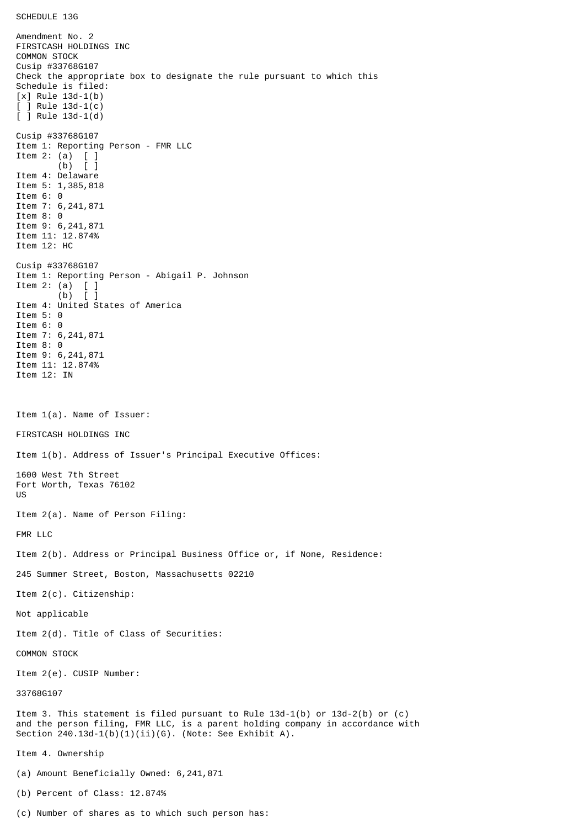Amendment No. 2 FIRSTCASH HOLDINGS INC COMMON STOCK Cusip #33768G107 Check the appropriate box to designate the rule pursuant to which this Schedule is filed: [x] Rule 13d-1(b) [ ] Rule 13d-1(c) [ ] Rule 13d-1(d) Cusip #33768G107 Item 1: Reporting Person - FMR LLC Item 2: (a) [ ] (b) [ ] Item 4: Delaware Item 5: 1,385,818 Item 6: 0 Item 7: 6,241,871 Item 8: 0 Item 9: 6,241,871 Item 11: 12.874% Item 12: HC Cusip #33768G107 Item 1: Reporting Person - Abigail P. Johnson Item 2: (a)  $\begin{bmatrix} 1 \\ 0 \end{bmatrix}$  $(b)$ Item 4: United States of America Item 5: 0 Item 6: 0 Item 7: 6,241,871 Item 8: 0 Item 9: 6,241,871 Item 11: 12.874% Item 12: IN Item 1(a). Name of Issuer: FIRSTCASH HOLDINGS INC Item 1(b). Address of Issuer's Principal Executive Offices: 1600 West 7th Street Fort Worth, Texas 76102 US Item 2(a). Name of Person Filing: FMR LLC Item 2(b). Address or Principal Business Office or, if None, Residence: 245 Summer Street, Boston, Massachusetts 02210 Item 2(c). Citizenship: Not applicable Item 2(d). Title of Class of Securities: COMMON STOCK Item 2(e). CUSIP Number: 33768G107 Item 3. This statement is filed pursuant to Rule 13d-1(b) or 13d-2(b) or (c) and the person filing, FMR LLC, is a parent holding company in accordance with Section  $240.13d-1(b)(1)(ii)(G)$ . (Note: See Exhibit A). Item 4. Ownership (a) Amount Beneficially Owned: 6,241,871 (b) Percent of Class: 12.874%

(c) Number of shares as to which such person has: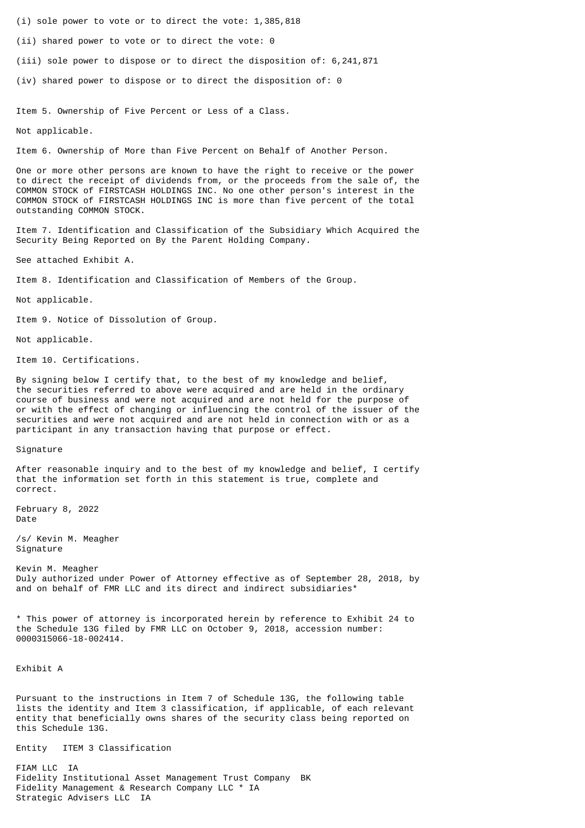(i) sole power to vote or to direct the vote: 1,385,818

(ii) shared power to vote or to direct the vote: 0

(iii) sole power to dispose or to direct the disposition of: 6,241,871

(iv) shared power to dispose or to direct the disposition of: 0

Item 5. Ownership of Five Percent or Less of a Class.

Not applicable.

Item 6. Ownership of More than Five Percent on Behalf of Another Person.

One or more other persons are known to have the right to receive or the power to direct the receipt of dividends from, or the proceeds from the sale of, the COMMON STOCK of FIRSTCASH HOLDINGS INC. No one other person's interest in the COMMON STOCK of FIRSTCASH HOLDINGS INC is more than five percent of the total outstanding COMMON STOCK.

Item 7. Identification and Classification of the Subsidiary Which Acquired the Security Being Reported on By the Parent Holding Company.

See attached Exhibit A.

Item 8. Identification and Classification of Members of the Group.

Not applicable.

Item 9. Notice of Dissolution of Group.

Not applicable.

Item 10. Certifications.

By signing below I certify that, to the best of my knowledge and belief, the securities referred to above were acquired and are held in the ordinary course of business and were not acquired and are not held for the purpose of or with the effect of changing or influencing the control of the issuer of the securities and were not acquired and are not held in connection with or as a participant in any transaction having that purpose or effect.

Signature

After reasonable inquiry and to the best of my knowledge and belief, I certify that the information set forth in this statement is true, complete and correct.

February 8, 2022 Date

/s/ Kevin M. Meagher Signature

Kevin M. Meagher Duly authorized under Power of Attorney effective as of September 28, 2018, by and on behalf of FMR LLC and its direct and indirect subsidiaries\*

\* This power of attorney is incorporated herein by reference to Exhibit 24 to the Schedule 13G filed by FMR LLC on October 9, 2018, accession number: 0000315066-18-002414.

Exhibit A

Pursuant to the instructions in Item 7 of Schedule 13G, the following table lists the identity and Item 3 classification, if applicable, of each relevant entity that beneficially owns shares of the security class being reported on this Schedule 13G.

Entity ITEM 3 Classification

FIAM LLC IA Fidelity Institutional Asset Management Trust Company BK Fidelity Management & Research Company LLC \* IA Strategic Advisers LLC IA